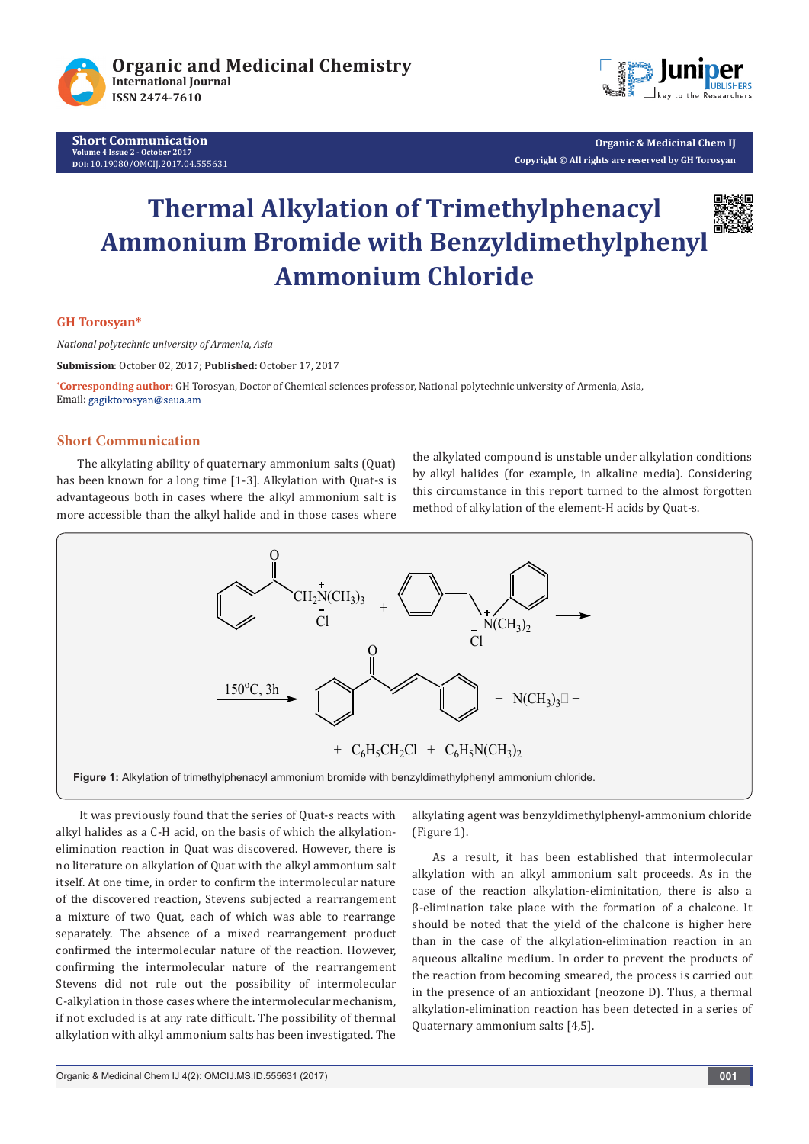

**Short Communication Volume 4 Issue 2 - October 2017 DOI:** [10.19080/OMCIJ.2017.04.555631](http://dx.doi.org/10.19080/omcij.2017.04.555631)



**Organic & Medicinal Chem IJ Copyright © All rights are reserved by GH Torosyan**

# **Thermal Alkylation of Trimethylphenacyl Ammonium Bromide with Benzyldimethylphenyl Ammonium Chloride**



# **GH Torosyan\***

*National polytechnic university of Armenia, Asia*

**Submission**: October 02, 2017; **Published:** October 17, 2017

**\* Corresponding author:** GH Torosyan, Doctor of Chemical sciences professor, National polytechnic university of Armenia, Asia, Email: gagiktorosyan@seua.am

### **Short Communication**

The alkylating ability of quaternary ammonium salts (Quat) has been known for a long time [1-3]. Alkylation with Quat-s is advantageous both in cases where the alkyl ammonium salt is more accessible than the alkyl halide and in those cases where the alkylated compound is unstable under alkylation conditions by alkyl halides (for example, in alkaline media). Considering this circumstance in this report turned to the almost forgotten method of alkylation of the element-H acids by Quat-s.



 It was previously found that the series of Quat-s reacts with alkyl halides as a C-H acid, on the basis of which the alkylationelimination reaction in Quat was discovered. However, there is no literature on alkylation of Quat with the alkyl ammonium salt itself. At one time, in order to confirm the intermolecular nature of the discovered reaction, Stevens subjected a rearrangement a mixture of two Quat, each of which was able to rearrange separately. The absence of a mixed rearrangement product confirmed the intermolecular nature of the reaction. However, confirming the intermolecular nature of the rearrangement Stevens did not rule out the possibility of intermolecular C-alkylation in those cases where the intermolecular mechanism, if not excluded is at any rate difficult. The possibility of thermal alkylation with alkyl ammonium salts has been investigated. The

alkylating agent was benzyldimethylphenyl-ammonium chloride (Figure 1).

As a result, it has been established that intermolecular alkylation with an alkyl ammonium salt proceeds. As in the case of the reaction alkylation-eliminitation, there is also a β-elimination take place with the formation of a chalcone. It should be noted that the yield of the chalcone is higher here than in the case of the alkylation-elimination reaction in an aqueous alkaline medium. In order to prevent the products of the reaction from becoming smeared, the process is carried out in the presence of an antioxidant (neozone D). Thus, a thermal alkylation-elimination reaction has been detected in a series of Quaternary ammonium salts [4,5].